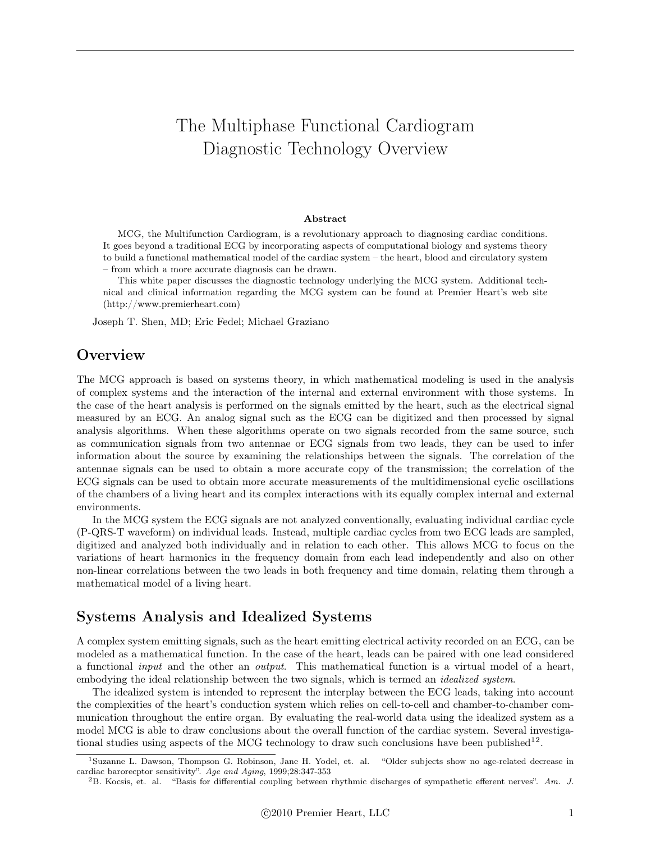# The Multiphase Functional Cardiogram Diagnostic Technology Overview

#### Abstract

MCG, the Multifunction Cardiogram, is a revolutionary approach to diagnosing cardiac conditions. It goes beyond a traditional ECG by incorporating aspects of computational biology and systems theory to build a functional mathematical model of the cardiac system – the heart, blood and circulatory system – from which a more accurate diagnosis can be drawn.

This white paper discusses the diagnostic technology underlying the MCG system. Additional technical and clinical information regarding the MCG system can be found at Premier Heart's web site (http://www.premierheart.com)

Joseph T. Shen, MD; Eric Fedel; Michael Graziano

### **Overview**

The MCG approach is based on systems theory, in which mathematical modeling is used in the analysis of complex systems and the interaction of the internal and external environment with those systems. In the case of the heart analysis is performed on the signals emitted by the heart, such as the electrical signal measured by an ECG. An analog signal such as the ECG can be digitized and then processed by signal analysis algorithms. When these algorithms operate on two signals recorded from the same source, such as communication signals from two antennae or ECG signals from two leads, they can be used to infer information about the source by examining the relationships between the signals. The correlation of the antennae signals can be used to obtain a more accurate copy of the transmission; the correlation of the ECG signals can be used to obtain more accurate measurements of the multidimensional cyclic oscillations of the chambers of a living heart and its complex interactions with its equally complex internal and external environments.

In the MCG system the ECG signals are not analyzed conventionally, evaluating individual cardiac cycle (P-QRS-T waveform) on individual leads. Instead, multiple cardiac cycles from two ECG leads are sampled, digitized and analyzed both individually and in relation to each other. This allows MCG to focus on the variations of heart harmonics in the frequency domain from each lead independently and also on other non-linear correlations between the two leads in both frequency and time domain, relating them through a mathematical model of a living heart.

### Systems Analysis and Idealized Systems

A complex system emitting signals, such as the heart emitting electrical activity recorded on an ECG, can be modeled as a mathematical function. In the case of the heart, leads can be paired with one lead considered a functional *input* and the other an *output*. This mathematical function is a virtual model of a heart, embodying the ideal relationship between the two signals, which is termed an *idealized system*.

The idealized system is intended to represent the interplay between the ECG leads, taking into account the complexities of the heart's conduction system which relies on cell-to-cell and chamber-to-chamber communication throughout the entire organ. By evaluating the real-world data using the idealized system as a model MCG is able to draw conclusions about the overall function of the cardiac system. Several investigational studies using aspects of the MCG technology to draw such conclusions have been published<sup>12</sup>.

<sup>&</sup>lt;sup>1</sup>Suzanne L. Dawson, Thompson G. Robinson, Jane H. Yodel, et. al. "Older subjects show no age-related decrease in cardiac barorecptor sensitivity". *Age and Aging*, 1999;28:347-353

<sup>2</sup>B. Kocsis, et. al. "Basis for differential coupling between rhythmic discharges of sympathetic efferent nerves". *Am. J.*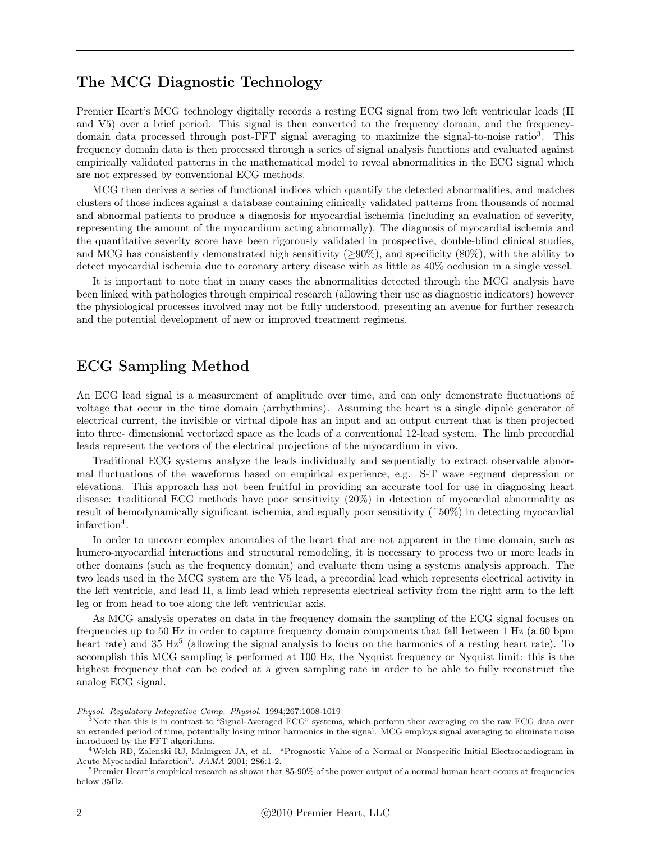### The MCG Diagnostic Technology

Premier Heart's MCG technology digitally records a resting ECG signal from two left ventricular leads (II and V5) over a brief period. This signal is then converted to the frequency domain, and the frequencydomain data processed through post-FFT signal averaging to maximize the signal-to-noise ratio3. This frequency domain data is then processed through a series of signal analysis functions and evaluated against empirically validated patterns in the mathematical model to reveal abnormalities in the ECG signal which are not expressed by conventional ECG methods.

MCG then derives a series of functional indices which quantify the detected abnormalities, and matches clusters of those indices against a database containing clinically validated patterns from thousands of normal and abnormal patients to produce a diagnosis for myocardial ischemia (including an evaluation of severity, representing the amount of the myocardium acting abnormally). The diagnosis of myocardial ischemia and the quantitative severity score have been rigorously validated in prospective, double-blind clinical studies, and MCG has consistently demonstrated high sensitivity ( $\geq 90\%$ ), and specificity (80%), with the ability to detect myocardial ischemia due to coronary artery disease with as little as 40% occlusion in a single vessel.

It is important to note that in many cases the abnormalities detected through the MCG analysis have been linked with pathologies through empirical research (allowing their use as diagnostic indicators) however the physiological processes involved may not be fully understood, presenting an avenue for further research and the potential development of new or improved treatment regimens.

### ECG Sampling Method

An ECG lead signal is a measurement of amplitude over time, and can only demonstrate fluctuations of voltage that occur in the time domain (arrhythmias). Assuming the heart is a single dipole generator of electrical current, the invisible or virtual dipole has an input and an output current that is then projected into three- dimensional vectorized space as the leads of a conventional 12-lead system. The limb precordial leads represent the vectors of the electrical projections of the myocardium in vivo.

Traditional ECG systems analyze the leads individually and sequentially to extract observable abnormal fluctuations of the waveforms based on empirical experience, e.g. S-T wave segment depression or elevations. This approach has not been fruitful in providing an accurate tool for use in diagnosing heart disease: traditional ECG methods have poor sensitivity (20%) in detection of myocardial abnormality as result of hemodynamically significant ischemia, and equally poor sensitivity  $(50\%)$  in detecting myocardial infarction<sup>4</sup>.

In order to uncover complex anomalies of the heart that are not apparent in the time domain, such as humero-myocardial interactions and structural remodeling, it is necessary to process two or more leads in other domains (such as the frequency domain) and evaluate them using a systems analysis approach. The two leads used in the MCG system are the V5 lead, a precordial lead which represents electrical activity in the left ventricle, and lead II, a limb lead which represents electrical activity from the right arm to the left leg or from head to toe along the left ventricular axis.

As MCG analysis operates on data in the frequency domain the sampling of the ECG signal focuses on frequencies up to 50 Hz in order to capture frequency domain components that fall between 1 Hz (a 60 bpm heart rate) and 35 Hz<sup>5</sup> (allowing the signal analysis to focus on the harmonics of a resting heart rate). To accomplish this MCG sampling is performed at 100 Hz, the Nyquist frequency or Nyquist limit: this is the highest frequency that can be coded at a given sampling rate in order to be able to fully reconstruct the analog ECG signal.

*Physol. Regulatory Integrative Comp. Physiol.* 1994;267:1008-1019

 $3$ Note that this is in contrast to "Signal-Averaged ECG" systems, which perform their averaging on the raw ECG data over an extended period of time, potentially losing minor harmonics in the signal. MCG employs signal averaging to eliminate noise introduced by the FFT algorithms.

<sup>4</sup>Welch RD, Zalenski RJ, Malmgren JA, et al. "Prognostic Value of a Normal or Nonspecific Initial Electrocardiogram in Acute Myocardial Infarction". *JAMA* 2001; 286:1-2.

 $5$ Premier Heart's empirical research as shown that 85-90% of the power output of a normal human heart occurs at frequencies below 35Hz.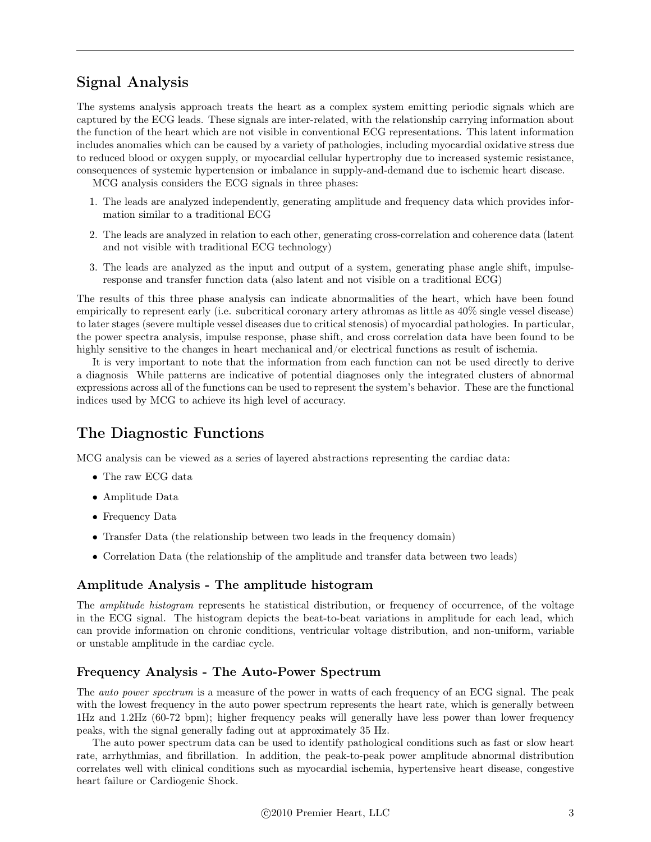# Signal Analysis

The systems analysis approach treats the heart as a complex system emitting periodic signals which are captured by the ECG leads. These signals are inter-related, with the relationship carrying information about the function of the heart which are not visible in conventional ECG representations. This latent information includes anomalies which can be caused by a variety of pathologies, including myocardial oxidative stress due to reduced blood or oxygen supply, or myocardial cellular hypertrophy due to increased systemic resistance, consequences of systemic hypertension or imbalance in supply-and-demand due to ischemic heart disease.

MCG analysis considers the ECG signals in three phases:

- 1. The leads are analyzed independently, generating amplitude and frequency data which provides information similar to a traditional ECG
- 2. The leads are analyzed in relation to each other, generating cross-correlation and coherence data (latent and not visible with traditional ECG technology)
- 3. The leads are analyzed as the input and output of a system, generating phase angle shift, impulseresponse and transfer function data (also latent and not visible on a traditional ECG)

The results of this three phase analysis can indicate abnormalities of the heart, which have been found empirically to represent early (i.e. subcritical coronary artery athromas as little as 40% single vessel disease) to later stages (severe multiple vessel diseases due to critical stenosis) of myocardial pathologies. In particular, the power spectra analysis, impulse response, phase shift, and cross correlation data have been found to be highly sensitive to the changes in heart mechanical and/or electrical functions as result of ischemia.

It is very important to note that the information from each function can not be used directly to derive a diagnosis While patterns are indicative of potential diagnoses only the integrated clusters of abnormal expressions across all of the functions can be used to represent the system's behavior. These are the functional indices used by MCG to achieve its high level of accuracy.

# The Diagnostic Functions

MCG analysis can be viewed as a series of layered abstractions representing the cardiac data:

- The raw ECG data
- Amplitude Data
- Frequency Data
- Transfer Data (the relationship between two leads in the frequency domain)
- Correlation Data (the relationship of the amplitude and transfer data between two leads)

#### Amplitude Analysis - The amplitude histogram

The *amplitude histogram* represents he statistical distribution, or frequency of occurrence, of the voltage in the ECG signal. The histogram depicts the beat-to-beat variations in amplitude for each lead, which can provide information on chronic conditions, ventricular voltage distribution, and non-uniform, variable or unstable amplitude in the cardiac cycle.

#### Frequency Analysis - The Auto-Power Spectrum

The *auto power spectrum* is a measure of the power in watts of each frequency of an ECG signal. The peak with the lowest frequency in the auto power spectrum represents the heart rate, which is generally between 1Hz and 1.2Hz (60-72 bpm); higher frequency peaks will generally have less power than lower frequency peaks, with the signal generally fading out at approximately 35 Hz.

The auto power spectrum data can be used to identify pathological conditions such as fast or slow heart rate, arrhythmias, and fibrillation. In addition, the peak-to-peak power amplitude abnormal distribution correlates well with clinical conditions such as myocardial ischemia, hypertensive heart disease, congestive heart failure or Cardiogenic Shock.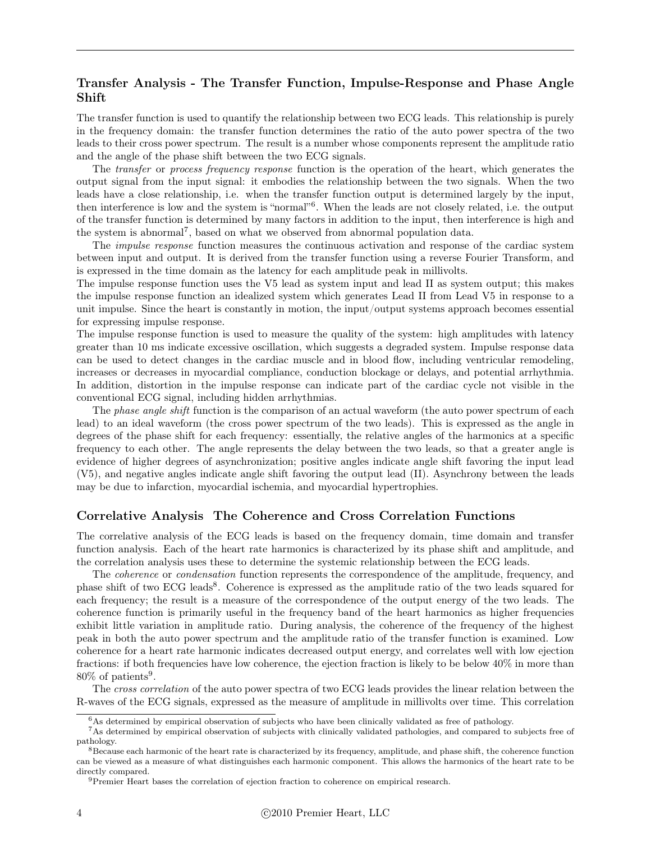#### Transfer Analysis - The Transfer Function, Impulse-Response and Phase Angle Shift

The transfer function is used to quantify the relationship between two ECG leads. This relationship is purely in the frequency domain: the transfer function determines the ratio of the auto power spectra of the two leads to their cross power spectrum. The result is a number whose components represent the amplitude ratio and the angle of the phase shift between the two ECG signals.

The *transfer* or *process frequency response* function is the operation of the heart, which generates the output signal from the input signal: it embodies the relationship between the two signals. When the two leads have a close relationship, i.e. when the transfer function output is determined largely by the input, then interference is low and the system is "normal"6. When the leads are not closely related, i.e. the output of the transfer function is determined by many factors in addition to the input, then interference is high and the system is abnormal7, based on what we observed from abnormal population data.

The *impulse response* function measures the continuous activation and response of the cardiac system between input and output. It is derived from the transfer function using a reverse Fourier Transform, and is expressed in the time domain as the latency for each amplitude peak in millivolts.

The impulse response function uses the V5 lead as system input and lead II as system output; this makes the impulse response function an idealized system which generates Lead II from Lead V5 in response to a unit impulse. Since the heart is constantly in motion, the input/output systems approach becomes essential for expressing impulse response.

The impulse response function is used to measure the quality of the system: high amplitudes with latency greater than 10 ms indicate excessive oscillation, which suggests a degraded system. Impulse response data can be used to detect changes in the cardiac muscle and in blood flow, including ventricular remodeling, increases or decreases in myocardial compliance, conduction blockage or delays, and potential arrhythmia. In addition, distortion in the impulse response can indicate part of the cardiac cycle not visible in the conventional ECG signal, including hidden arrhythmias.

The *phase angle shift* function is the comparison of an actual waveform (the auto power spectrum of each lead) to an ideal waveform (the cross power spectrum of the two leads). This is expressed as the angle in degrees of the phase shift for each frequency: essentially, the relative angles of the harmonics at a specific frequency to each other. The angle represents the delay between the two leads, so that a greater angle is evidence of higher degrees of asynchronization; positive angles indicate angle shift favoring the input lead (V5), and negative angles indicate angle shift favoring the output lead (II). Asynchrony between the leads may be due to infarction, myocardial ischemia, and myocardial hypertrophies.

#### Correlative Analysis The Coherence and Cross Correlation Functions

The correlative analysis of the ECG leads is based on the frequency domain, time domain and transfer function analysis. Each of the heart rate harmonics is characterized by its phase shift and amplitude, and the correlation analysis uses these to determine the systemic relationship between the ECG leads.

The *coherence* or *condensation* function represents the correspondence of the amplitude, frequency, and phase shift of two ECG leads<sup>8</sup>. Coherence is expressed as the amplitude ratio of the two leads squared for each frequency; the result is a measure of the correspondence of the output energy of the two leads. The coherence function is primarily useful in the frequency band of the heart harmonics as higher frequencies exhibit little variation in amplitude ratio. During analysis, the coherence of the frequency of the highest peak in both the auto power spectrum and the amplitude ratio of the transfer function is examined. Low coherence for a heart rate harmonic indicates decreased output energy, and correlates well with low ejection fractions: if both frequencies have low coherence, the ejection fraction is likely to be below 40% in more than  $80\%$  of patients<sup>9</sup>.

The *cross correlation* of the auto power spectra of two ECG leads provides the linear relation between the R-waves of the ECG signals, expressed as the measure of amplitude in millivolts over time. This correlation

<sup>6</sup>As determined by empirical observation of subjects who have been clinically validated as free of pathology.

<sup>7</sup>As determined by empirical observation of subjects with clinically validated pathologies, and compared to subjects free of pathology.

<sup>8</sup>Because each harmonic of the heart rate is characterized by its frequency, amplitude, and phase shift, the coherence function can be viewed as a measure of what distinguishes each harmonic component. This allows the harmonics of the heart rate to be directly compared.

<sup>&</sup>lt;sup>9</sup>Premier Heart bases the correlation of ejection fraction to coherence on empirical research.